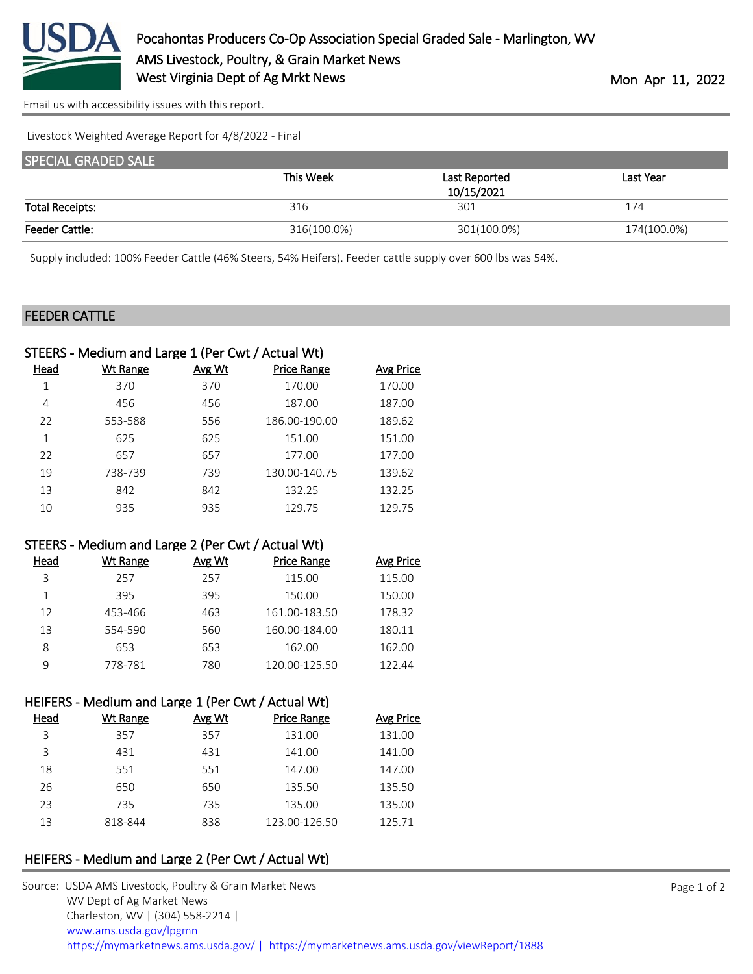

[Email us with accessibility issues with this report.](mailto:mars@ams.usda.gov?subject=508%20issue)

Livestock Weighted Average Report for 4/8/2022 - Final

| <b>SPECIAL GRADED SALE</b> |             |               |             |
|----------------------------|-------------|---------------|-------------|
|                            | This Week   | Last Reported | Last Year   |
|                            |             | 10/15/2021    |             |
| <b>Total Receipts:</b>     | 316         | 301           | 174         |
| <b>Feeder Cattle:</b>      | 316(100.0%) | 301(100.0%)   | 174(100.0%) |

Supply included: 100% Feeder Cattle (46% Steers, 54% Heifers). Feeder cattle supply over 600 lbs was 54%.

#### FEEDER CATTLE

|      | STEERS - Medium and Large 1 (Per Cwt / Actual Wt) |        |                    |           |
|------|---------------------------------------------------|--------|--------------------|-----------|
| Head | Wt Range                                          | Avg Wt | <b>Price Range</b> | Avg Price |
|      | 370                                               | 370    | 170.00             | 170.00    |
| 4    | 456                                               | 456    | 187.00             | 187.00    |
| 22   | 553-588                                           | 556    | 186.00-190.00      | 189.62    |
| 1    | 625                                               | 625    | 151.00             | 151.00    |
| 22   | 657                                               | 657    | 177.00             | 177.00    |
| 19   | 738-739                                           | 739    | 130.00-140.75      | 139.62    |
| 13   | 842                                               | 842    | 132.25             | 132.25    |
| 10   | 935                                               | 935    | 129.75             | 129.75    |
|      |                                                   |        |                    |           |

#### STEERS - Medium and Large 2 (Per Cwt / Actual Wt)

| Head | Wt Range | Avg Wt | <b>Price Range</b> | Avg Price |
|------|----------|--------|--------------------|-----------|
| 3    | 257      | 257    | 115.00             | 115.00    |
| 1    | 395      | 395    | 150.00             | 150.00    |
| 12   | 453-466  | 463    | 161.00-183.50      | 178.32    |
| 13   | 554-590  | 560    | 160.00-184.00      | 180.11    |
| 8    | 653      | 653    | 162.00             | 162.00    |
| q    | 778-781  | 780    | 120.00-125.50      | 122.44    |

### HEIFERS - Medium and Large 1 (Per Cwt / Actual Wt)

| Head | Wt Range | Avg Wt | <b>Price Range</b> | Avg Price |
|------|----------|--------|--------------------|-----------|
| 3    | 357      | 357    | 131.00             | 131.00    |
| 3    | 431      | 431    | 141.00             | 141.00    |
| 18   | 551      | 551    | 147.00             | 147.00    |
| 26   | 650      | 650    | 135.50             | 135.50    |
| 23   | 735      | 735    | 135.00             | 135.00    |
| 13   | 818-844  | 838    | 123.00-126.50      | 125.71    |

## HEIFERS - Medium and Large 2 (Per Cwt / Actual Wt)

| Source: USDA AMS Livestock, Poultry & Grain Market News                                |
|----------------------------------------------------------------------------------------|
| WV Dept of Ag Market News                                                              |
| Charleston, WV   (304) 558-2214                                                        |
| www.ams.usda.gov/lpgmn                                                                 |
| https://mymarketnews.ams.usda.gov/   https://mymarketnews.ams.usda.gov/viewReport/1888 |